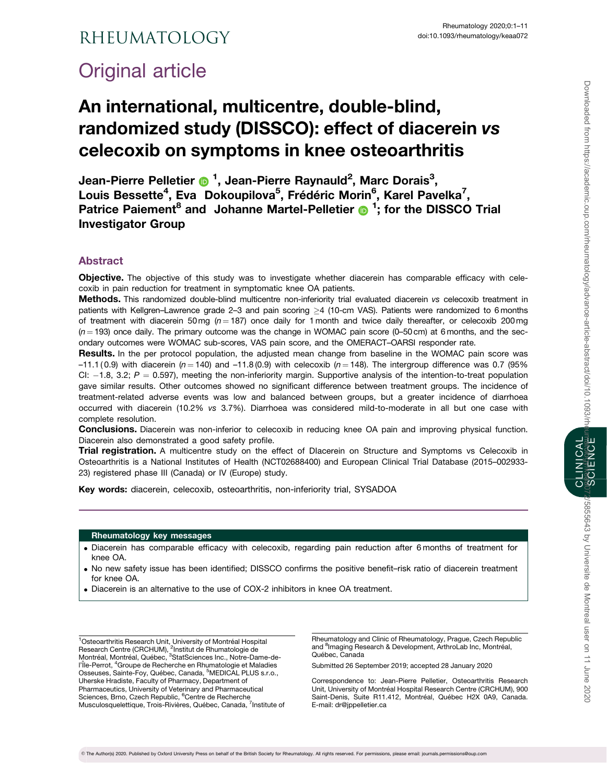# Original article

# An international, multicentre, double-blind, randomized study (DISSCO): effect of diacerein vs celecoxib on symptoms in knee osteoarthritis

Jean-Pierre Pelletier <sup>1</sup> , Jean-Pierre Raynauld<sup>2</sup> , Marc Dorais<sup>3</sup> , Louis Bessette<sup>4</sup>, Eva Dokoupilova<sup>5</sup>, Frédéric Morin<sup>6</sup>, Karel Pavelka<sup>7</sup>, Patrice Paiement<sup>8</sup> and Johanne Martel-Pelletier <sup>1</sup>; for the DISSCO Trial Investigator Group

# Abstract

Objective. The objective of this study was to investigate whether diacerein has comparable efficacy with celecoxib in pain reduction for treatment in symptomatic knee OA patients.

Methods. This randomized double-blind multicentre non-inferiority trial evaluated diacerein vs celecoxib treatment in patients with Kellgren–Lawrence grade 2–3 and pain scoring  $\geq$ 4 (10-cm VAS). Patients were randomized to 6 months of treatment with diacerein 50mg ( $n = 187$ ) once daily for 1 month and twice daily thereafter, or celecoxib 200mg  $(n=193)$  once daily. The primary outcome was the change in WOMAC pain score (0–50 cm) at 6 months, and the secondary outcomes were WOMAC sub-scores, VAS pain score, and the OMERACT–OARSI responder rate.

Results. In the per protocol population, the adjusted mean change from baseline in the WOMAC pain score was –11.1 (0.9) with diacerein ( $n = 140$ ) and –11.8 (0.9) with celecoxib ( $n = 148$ ). The intergroup difference was 0.7 (95% CI:  $-1.8$ , 3.2;  $P = 0.597$ ), meeting the non-inferiority margin. Supportive analysis of the intention-to-treat population gave similar results. Other outcomes showed no significant difference between treatment groups. The incidence of treatment-related adverse events was low and balanced between groups, but a greater incidence of diarrhoea occurred with diacerein (10.2% vs 3.7%). Diarrhoea was considered mild-to-moderate in all but one case with complete resolution.

Conclusions. Diacerein was non-inferior to celecoxib in reducing knee OA pain and improving physical function. Diacerein also demonstrated a good safety profile.

Trial registration. A multicentre study on the effect of Dlacerein on Structure and Symptoms vs Celecoxib in Osteoarthritis is a National Institutes of Health (NCT02688400) and European Clinical Trial Database (2015–002933- 23) registered phase III (Canada) or IV (Europe) study.

Key words: diacerein, celecoxib, osteoarthritis, non-inferiority trial, SYSADOA

## Rheumatology key messages

- . Diacerein has comparable efficacy with celecoxib, regarding pain reduction after 6 months of treatment for knee OA.
- . No new safety issue has been identified; DISSCO confirms the positive benefit–risk ratio of diacerein treatment for knee OA.
- . Diacerein is an alternative to the use of COX-2 inhibitors in knee OA treatment.

<sup>1</sup>Osteoarthritis Research Unit, University of Montréal Hospital Research Centre (CRCHUM), <sup>2</sup>Institut de Rhumatologie de<br>Montréal, Montréal, Québec, <sup>3</sup>StatSciences Inc., Notre-Dame-del'Île-Perrot, <sup>4</sup>Groupe de Recherche en Rhumatologie et Maladies<br>Osseuses, Sainte-Foy, Québec, Canada, <sup>5</sup>MEDICAL PLUS s.r.o., Uherske Hradiste, Faculty of Pharmacy, Department of Pharmaceutics, University of Veterinary and Pharmaceutical Sciences, Brno, Czech Republic, <sup>6</sup>Centre de Recherche Musculosquelettique, Trois-Rivières, Québec, Canada, 7Institute of Rheumatology and Clinic of Rheumatology, Prague, Czech Republic and <sup>8</sup>Imaging Research & Development, ArthroLab Inc, Montréal, Québec, Canada

Submitted 26 September 2019; accepted 28 January 2020

Correspondence to: Jean-Pierre Pelletier, Osteoarthritis Research Unit, University of Montréal Hospital Research Centre (CRCHUM), 900 Saint-Denis, Suite R11.412, Montréal, Québec H2X 0A9, Canada. E-mail: dr@jppelletier.ca

CLINICAL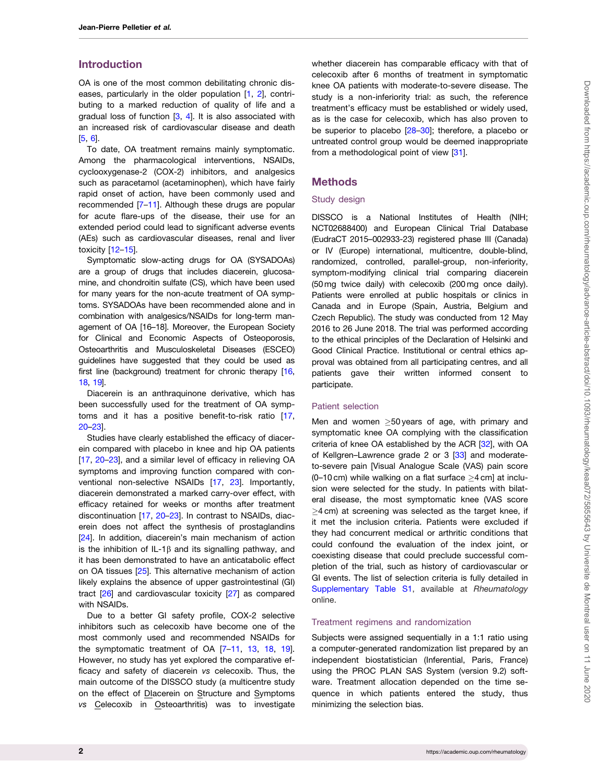### <span id="page-1-0"></span>Introduction

OA is one of the most common debilitating chronic diseases, particularly in the older population [[1,](#page-8-0) [2](#page-8-0)], contributing to a marked reduction of quality of life and a gradual loss of function [[3,](#page-8-0) [4](#page-8-0)]. It is also associated with an increased risk of cardiovascular disease and death [[5](#page-8-0), [6](#page-8-0)].

To date, OA treatment remains mainly symptomatic. Among the pharmacological interventions, NSAIDs, cyclooxygenase-2 (COX-2) inhibitors, and analgesics such as paracetamol (acetaminophen), which have fairly rapid onset of action, have been commonly used and recommended [\[7–11\]](#page-8-0). Although these drugs are popular for acute flare-ups of the disease, their use for an extended period could lead to significant adverse events (AEs) such as cardiovascular diseases, renal and liver toxicity [[12–15\]](#page-8-0).

Symptomatic slow-acting drugs for OA (SYSADOAs) are a group of drugs that includes diacerein, glucosamine, and chondroitin sulfate (CS), which have been used for many years for the non-acute treatment of OA symptoms. SYSADOAs have been recommended alone and in combination with analgesics/NSAIDs for long-term management of OA [16–18]. Moreover, the European Society for Clinical and Economic Aspects of Osteoporosis, Osteoarthritis and Musculoskeletal Diseases (ESCEO) guidelines have suggested that they could be used as first line (background) treatment for chronic therapy [\[16](#page-8-0), [18,](#page-9-0) [19\]](#page-9-0).

Diacerein is an anthraquinone derivative, which has been successfully used for the treatment of OA symptoms and it has a positive benefit-to-risk ratio [[17](#page-9-0), [20–23](#page-9-0)].

Studies have clearly established the efficacy of diacerein compared with placebo in knee and hip OA patients [[17,](#page-9-0) [20–23](#page-9-0)], and a similar level of efficacy in relieving OA symptoms and improving function compared with conventional non-selective NSAIDs [\[17,](#page-9-0) [23\]](#page-9-0). Importantly, diacerein demonstrated a marked carry-over effect, with efficacy retained for weeks or months after treatment discontinuation [[17,](#page-9-0) [20–23\]](#page-9-0). In contrast to NSAIDs, diacerein does not affect the synthesis of prostaglandins [[24\]](#page-9-0). In addition, diacerein's main mechanism of action is the inhibition of IL-1 $\beta$  and its signalling pathway, and it has been demonstrated to have an anticatabolic effect on OA tissues [[25](#page-9-0)]. This alternative mechanism of action likely explains the absence of upper gastrointestinal (GI) tract [\[26](#page-9-0)] and cardiovascular toxicity [\[27\]](#page-9-0) as compared with NSAIDs.

Due to a better GI safety profile, COX-2 selective inhibitors such as celecoxib have become one of the most commonly used and recommended NSAIDs for the symptomatic treatment of OA [\[7–11](#page-8-0), [13](#page-8-0), [18](#page-9-0), [19](#page-9-0)]. However, no study has yet explored the comparative efficacy and safety of diacerein vs celecoxib. Thus, the main outcome of the DISSCO study (a multicentre study on the effect of DIacerein on Structure and Symptoms vs Celecoxib in Osteoarthritis) was to investigate

whether diacerein has comparable efficacy with that of celecoxib after 6 months of treatment in symptomatic knee OA patients with moderate-to-severe disease. The study is a non-inferiority trial: as such, the reference treatment's efficacy must be established or widely used, as is the case for celecoxib, which has also proven to be superior to placebo [[28–30\]](#page-9-0); therefore, a placebo or untreated control group would be deemed inappropriate from a methodological point of view [\[31](#page-9-0)].

## Methods

#### Study design

DISSCO is a National Institutes of Health (NIH; NCT02688400) and European Clinical Trial Database (EudraCT 2015–002933-23) registered phase III (Canada) or IV (Europe) international, multicentre, double-blind, randomized, controlled, parallel-group, non-inferiority, symptom-modifying clinical trial comparing diacerein (50 mg twice daily) with celecoxib (200 mg once daily). Patients were enrolled at public hospitals or clinics in Canada and in Europe (Spain, Austria, Belgium and Czech Republic). The study was conducted from 12 May 2016 to 26 June 2018. The trial was performed according to the ethical principles of the Declaration of Helsinki and Good Clinical Practice. Institutional or central ethics approval was obtained from all participating centres, and all patients gave their written informed consent to participate.

#### Patient selection

Men and women  $\geq$ 50 years of age, with primary and symptomatic knee OA complying with the classification criteria of knee OA established by the ACR [[32\]](#page-9-0), with OA of Kellgren–Lawrence grade 2 or 3 [\[33\]](#page-9-0) and moderateto-severe pain [Visual Analogue Scale (VAS) pain score (0–10 cm) while walking on a flat surface  $\geq$ 4 cm] at inclusion were selected for the study. In patients with bilateral disease, the most symptomatic knee (VAS score  $\geq$ 4 cm) at screening was selected as the target knee, if it met the inclusion criteria. Patients were excluded if they had concurrent medical or arthritic conditions that could confound the evaluation of the index joint, or coexisting disease that could preclude successful completion of the trial, such as history of cardiovascular or GI events. The list of selection criteria is fully detailed in [Supplementary Table S1](https://academic.oup.com/rheumatology/article-lookup/doi/10.1093/rheumatology/keaa072#supplementary-data), available at Rheumatology online.

### Treatment regimens and randomization

Subjects were assigned sequentially in a 1:1 ratio using a computer-generated randomization list prepared by an independent biostatistician (Inferential, Paris, France) using the PROC PLAN SAS System (version 9.2) software. Treatment allocation depended on the time sequence in which patients entered the study, thus minimizing the selection bias.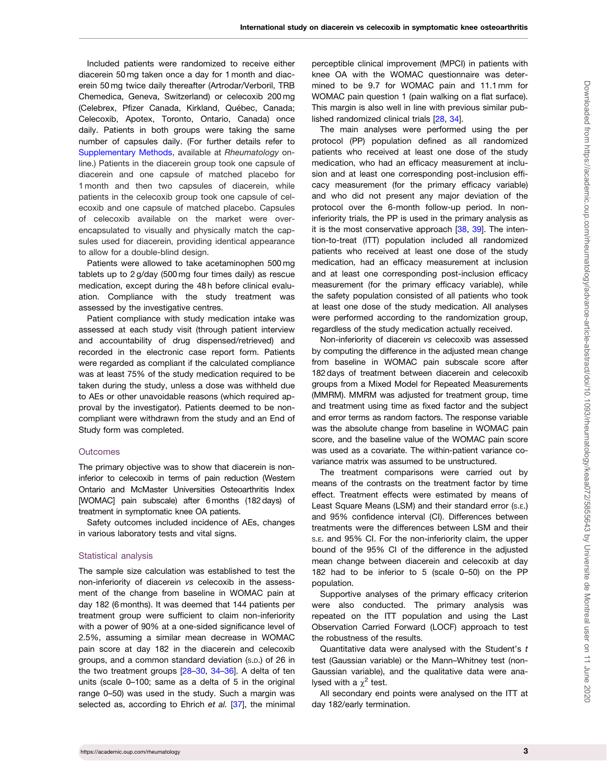<span id="page-2-0"></span>Included patients were randomized to receive either diacerein 50 mg taken once a day for 1 month and diacerein 50 mg twice daily thereafter (Artrodar/Verboril, TRB Chemedica, Geneva, Switzerland) or celecoxib 200 mg (Celebrex, Pfizer Canada, Kirkland, Québec, Canada; Celecoxib, Apotex, Toronto, Ontario, Canada) once daily. Patients in both groups were taking the same number of capsules daily. (For further details refer to [Supplementary Methods,](https://academic.oup.com/rheumatology/article-lookup/doi/10.1093/rheumatology/keaa072#supplementary-data) available at Rheumatology online.) Patients in the diacerein group took one capsule of diacerein and one capsule of matched placebo for 1 month and then two capsules of diacerein, while patients in the celecoxib group took one capsule of celecoxib and one capsule of matched placebo. Capsules of celecoxib available on the market were overencapsulated to visually and physically match the capsules used for diacerein, providing identical appearance to allow for a double-blind design.

Patients were allowed to take acetaminophen 500 mg tablets up to 2 g/day (500 mg four times daily) as rescue medication, except during the 48 h before clinical evaluation. Compliance with the study treatment was assessed by the investigative centres.

Patient compliance with study medication intake was assessed at each study visit (through patient interview and accountability of drug dispensed/retrieved) and recorded in the electronic case report form. Patients were regarded as compliant if the calculated compliance was at least 75% of the study medication required to be taken during the study, unless a dose was withheld due to AEs or other unavoidable reasons (which required approval by the investigator). Patients deemed to be noncompliant were withdrawn from the study and an End of Study form was completed.

#### **Outcomes**

The primary objective was to show that diacerein is noninferior to celecoxib in terms of pain reduction (Western Ontario and McMaster Universities Osteoarthritis Index [WOMAC] pain subscale) after 6 months (182 days) of treatment in symptomatic knee OA patients.

Safety outcomes included incidence of AEs, changes in various laboratory tests and vital signs.

#### Statistical analysis

The sample size calculation was established to test the non-inferiority of diacerein vs celecoxib in the assessment of the change from baseline in WOMAC pain at day 182 (6 months). It was deemed that 144 patients per treatment group were sufficient to claim non-inferiority with a power of 90% at a one-sided significance level of 2.5%, assuming a similar mean decrease in WOMAC pain score at day 182 in the diacerein and celecoxib groups, and a common standard deviation (S.D.) of 26 in the two treatment groups [\[28–30](#page-9-0), [34](#page-9-0)–[36\]](#page-9-0). A delta of ten units (scale 0–100; same as a delta of 5 in the original range 0–50) was used in the study. Such a margin was selected as, according to Ehrich et al. [\[37\]](#page-9-0), the minimal

perceptible clinical improvement (MPCI) in patients with knee OA with the WOMAC questionnaire was determined to be 9.7 for WOMAC pain and 11.1 mm for WOMAC pain question 1 (pain walking on a flat surface). This margin is also well in line with previous similar published randomized clinical trials [\[28,](#page-9-0) [34](#page-9-0)].

The main analyses were performed using the per protocol (PP) population defined as all randomized patients who received at least one dose of the study medication, who had an efficacy measurement at inclusion and at least one corresponding post-inclusion efficacy measurement (for the primary efficacy variable) and who did not present any major deviation of the protocol over the 6-month follow-up period. In noninferiority trials, the PP is used in the primary analysis as it is the most conservative approach  $[38, 39]$  $[38, 39]$  $[38, 39]$  $[38, 39]$  $[38, 39]$ . The intention-to-treat (ITT) population included all randomized patients who received at least one dose of the study medication, had an efficacy measurement at inclusion and at least one corresponding post-inclusion efficacy measurement (for the primary efficacy variable), while the safety population consisted of all patients who took at least one dose of the study medication. All analyses were performed according to the randomization group, regardless of the study medication actually received.

Non-inferiority of diacerein vs celecoxib was assessed by computing the difference in the adjusted mean change from baseline in WOMAC pain subscale score after 182 days of treatment between diacerein and celecoxib groups from a Mixed Model for Repeated Measurements (MMRM). MMRM was adjusted for treatment group, time and treatment using time as fixed factor and the subject and error terms as random factors. The response variable was the absolute change from baseline in WOMAC pain score, and the baseline value of the WOMAC pain score was used as a covariate. The within-patient variance covariance matrix was assumed to be unstructured.

The treatment comparisons were carried out by means of the contrasts on the treatment factor by time effect. Treatment effects were estimated by means of Least Square Means (LSM) and their standard error (S.E.) and 95% confidence interval (CI). Differences between treatments were the differences between LSM and their S.E. and 95% CI. For the non-inferiority claim, the upper bound of the 95% CI of the difference in the adjusted mean change between diacerein and celecoxib at day 182 had to be inferior to 5 (scale 0–50) on the PP population.

Supportive analyses of the primary efficacy criterion were also conducted. The primary analysis was repeated on the ITT population and using the Last Observation Carried Forward (LOCF) approach to test the robustness of the results.

Quantitative data were analysed with the Student's t test (Gaussian variable) or the Mann–Whitney test (non-Gaussian variable), and the qualitative data were analysed with a  $\gamma^2$  test.

All secondary end points were analysed on the ITT at day 182/early termination.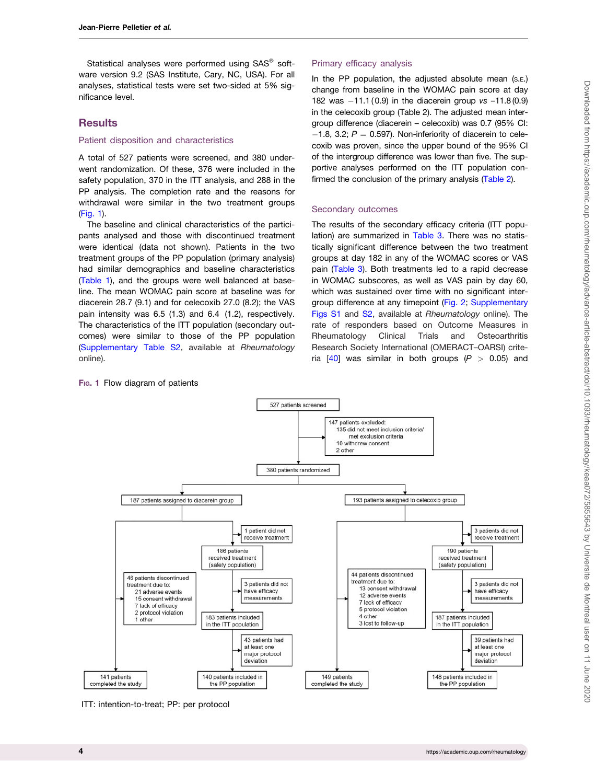<span id="page-3-0"></span>Statistical analyses were performed using SAS $^{\circledast}$  software version 9.2 (SAS Institute, Cary, NC, USA). For all analyses, statistical tests were set two-sided at 5% significance level.

# **Results**

#### Patient disposition and characteristics

A total of 527 patients were screened, and 380 underwent randomization. Of these, 376 were included in the safety population, 370 in the ITT analysis, and 288 in the PP analysis. The completion rate and the reasons for withdrawal were similar in the two treatment groups (Fig. 1).

The baseline and clinical characteristics of the participants analysed and those with discontinued treatment were identical (data not shown). Patients in the two treatment groups of the PP population (primary analysis) had similar demographics and baseline characteristics ([Table 1](#page-4-0)), and the groups were well balanced at baseline. The mean WOMAC pain score at baseline was for diacerein 28.7 (9.1) and for celecoxib 27.0 (8.2); the VAS pain intensity was 6.5 (1.3) and 6.4 (1.2), respectively. The characteristics of the ITT population (secondary outcomes) were similar to those of the PP population ([Supplementary Table S2](https://academic.oup.com/rheumatology/article-lookup/doi/10.1093/rheumatology/keaa072#supplementary-data), available at Rheumatology online).

#### Fig. 1 Flow diagram of patients



In the PP population, the adjusted absolute mean (s.e.) change from baseline in the WOMAC pain score at day 182 was  $-11.1$  (0.9) in the diacerein group vs  $-11.8$  (0.9) in the celecoxib group (Table 2). The adjusted mean intergroup difference (diacerein – celecoxib) was 0.7 (95% CI:  $-1.8$ , 3.2;  $P = 0.597$ ). Non-inferiority of diacerein to celecoxib was proven, since the upper bound of the 95% CI of the intergroup difference was lower than five. The supportive analyses performed on the ITT population confirmed the conclusion of the primary analysis [\(Table 2\)](#page-4-0).

### Secondary outcomes

The results of the secondary efficacy criteria (ITT population) are summarized in [Table 3](#page-6-0). There was no statistically significant difference between the two treatment groups at day 182 in any of the WOMAC scores or VAS pain ([Table 3\)](#page-6-0). Both treatments led to a rapid decrease in WOMAC subscores, as well as VAS pain by day 60, which was sustained over time with no significant intergroup difference at any timepoint [\(Fig. 2;](#page-5-0) [Supplementary](https://academic.oup.com/rheumatology/article-lookup/doi/10.1093/rheumatology/keaa072#supplementary-data) [Figs S1](https://academic.oup.com/rheumatology/article-lookup/doi/10.1093/rheumatology/keaa072#supplementary-data) and [S2,](https://academic.oup.com/rheumatology/article-lookup/doi/10.1093/rheumatology/keaa072#supplementary-data) available at Rheumatology online). The rate of responders based on Outcome Measures in Rheumatology Clinical Trials and Osteoarthritis Research Society International (OMERACT–OARSI) crite-ria [[40](#page-9-0)] was similar in both groups ( $P > 0.05$ ) and



ITT: intention-to-treat; PP: per protocol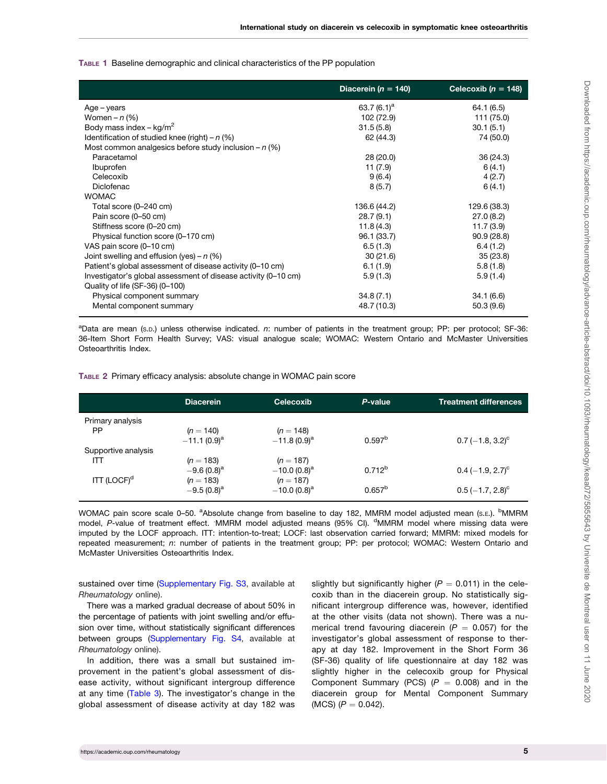#### <span id="page-4-0"></span>TABLE 1 Baseline demographic and clinical characteristics of the PP population

|                                                                | Diacerein ( $n = 140$ ) | Celecoxib ( $n = 148$ ) |
|----------------------------------------------------------------|-------------------------|-------------------------|
| $Age - years$                                                  | 63.7 $(6.1)^a$          | 64.1 (6.5)              |
| Women $-n$ (%)                                                 | 102 (72.9)              | 111 (75.0)              |
| Body mass index - $kg/m^2$                                     | 31.5(5.8)               | 30.1(5.1)               |
| Identification of studied knee (right) – $n$ (%)               | 62 (44.3)               | 74 (50.0)               |
| Most common analgesics before study inclusion $-n$ (%)         |                         |                         |
| Paracetamol                                                    | 28 (20.0)               | 36(24.3)                |
| <b>Ibuprofen</b>                                               | 11(7.9)                 | 6(4.1)                  |
| Celecoxib                                                      | 9(6.4)                  | 4(2.7)                  |
| Diclofenac                                                     | 8(5.7)                  | 6(4.1)                  |
| <b>WOMAC</b>                                                   |                         |                         |
| Total score (0-240 cm)                                         | 136.6 (44.2)            | 129.6 (38.3)            |
| Pain score (0-50 cm)                                           | 28.7(9.1)               | 27.0(8.2)               |
| Stiffness score (0-20 cm)                                      | 11.8(4.3)               | 11.7(3.9)               |
| Physical function score (0-170 cm)                             | 96.1 (33.7)             | 90.9(28.8)              |
| VAS pain score (0-10 cm)                                       | 6.5(1.3)                | 6.4(1.2)                |
| Joint swelling and effusion (yes) – $n$ (%)                    | 30(21.6)                | 35(23.8)                |
| Patient's global assessment of disease activity (0–10 cm)      | 6.1(1.9)                | 5.8(1.8)                |
| Investigator's global assessment of disease activity (0-10 cm) | 5.9(1.3)                | 5.9(1.4)                |
| Quality of life (SF-36) (0-100)                                |                         |                         |
| Physical component summary                                     | 34.8(7.1)               | 34.1(6.6)               |
| Mental component summary                                       | 48.7 (10.3)             | 50.3(9.6)               |
|                                                                |                         |                         |

aData are mean (s.p.) unless otherwise indicated. n: number of patients in the treatment group; PP: per protocol; SF-36: 36-Item Short Form Health Survey; VAS: visual analogue scale; WOMAC: Western Ontario and McMaster Universities Osteoarthritis Index.

TABLE 2 Primary efficacy analysis: absolute change in WOMAC pain score

|                         | <b>Diacerein</b>              | <b>Celecoxib</b>              | P-value            | <b>Treatment differences</b>   |
|-------------------------|-------------------------------|-------------------------------|--------------------|--------------------------------|
| Primary analysis        |                               |                               |                    |                                |
| <b>PP</b>               | $(n = 140)$<br>$-11.1(0.9)^a$ | $(n = 148)$<br>$-11.8(0.9)^a$ | 0.597 <sup>b</sup> | $0.7$ (-1.8, 3.2) <sup>c</sup> |
| Supportive analysis     |                               |                               |                    |                                |
| ITT                     | $(n = 183)$                   | $(n = 187)$                   |                    |                                |
| ITT (LOCF) <sup>d</sup> | $-9.6(0.8)^a$<br>$(n = 183)$  | $-10.0(0.8)^a$<br>$(n = 187)$ | 0.712 <sup>b</sup> | $0.4$ (-1.9, 2.7) <sup>c</sup> |
|                         | $-9.5(0.8)^a$                 | $-10.0(0.8)^a$                | $0.657^{b}$        | $0.5(-1.7, 2.8)^{\circ}$       |

WOMAC pain score scale 0–50. <sup>a</sup>Absolute change from baseline to day 182, MMRM model adjusted mean (s.*E.*). <sup>b</sup>MMRM model, P-value of treatment effect. MMRM model adjusted means (95% CI). <sup>d</sup>MMRM model where missing data were imputed by the LOCF approach. ITT: intention-to-treat; LOCF: last observation carried forward; MMRM: mixed models for repeated measurement; n: number of patients in the treatment group; PP: per protocol; WOMAC: Western Ontario and McMaster Universities Osteoarthritis Index.

sustained over time [\(Supplementary Fig. S3](https://academic.oup.com/rheumatology/article-lookup/doi/10.1093/rheumatology/keaa072#supplementary-data), available at Rheumatology online).

There was a marked gradual decrease of about 50% in the percentage of patients with joint swelling and/or effusion over time, without statistically significant differences between groups ([Supplementary Fig. S4,](https://academic.oup.com/rheumatology/article-lookup/doi/10.1093/rheumatology/keaa072#supplementary-data) available at Rheumatology online).

In addition, there was a small but sustained improvement in the patient's global assessment of disease activity, without significant intergroup difference at any time ([Table 3](#page-6-0)). The investigator's change in the global assessment of disease activity at day 182 was

slightly but significantly higher ( $P = 0.011$ ) in the celecoxib than in the diacerein group. No statistically significant intergroup difference was, however, identified at the other visits (data not shown). There was a numerical trend favouring diacerein ( $P = 0.057$ ) for the investigator's global assessment of response to therapy at day 182. Improvement in the Short Form 36 (SF-36) quality of life questionnaire at day 182 was slightly higher in the celecoxib group for Physical Component Summary (PCS)  $(P = 0.008)$  and in the diacerein group for Mental Component Summary (MCS)  $(P = 0.042)$ .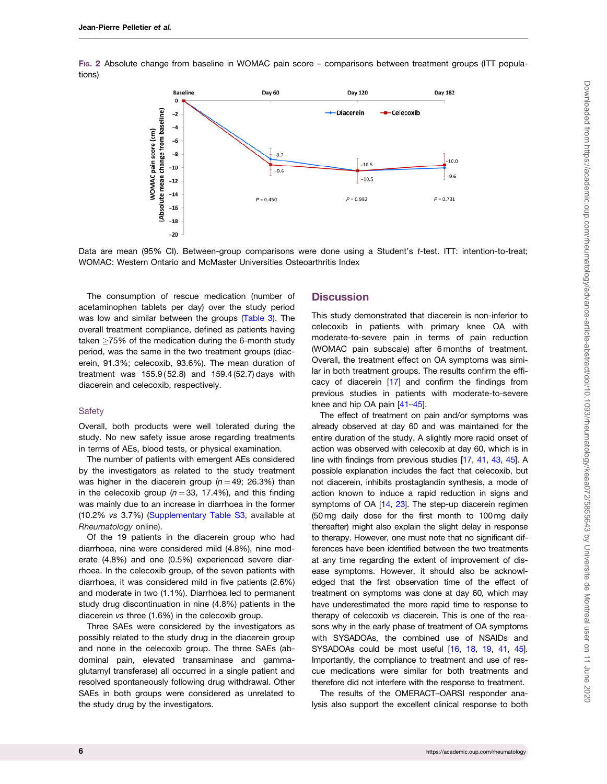<span id="page-5-0"></span>FIG. 2 Absolute change from baseline in WOMAC pain score – comparisons between treatment groups (ITT populations)



Data are mean (95% CI). Between-group comparisons were done using a Student's t-test. ITT: intention-to-treat; WOMAC: Western Ontario and McMaster Universities Osteoarthritis Index

The consumption of rescue medication (number of acetaminophen tablets per day) over the study period was low and similar between the groups ([Table 3](#page-6-0)). The overall treatment compliance, defined as patients having taken  $\geq$ 75% of the medication during the 6-month study period, was the same in the two treatment groups (diacerein, 91.3%; celecoxib, 93.6%). The mean duration of treatment was 155.9 ( 52.8) and 159.4 (52.7) days with diacerein and celecoxib, respectively.

#### **Safety**

Overall, both products were well tolerated during the study. No new safety issue arose regarding treatments in terms of AEs, blood tests, or physical examination.

The number of patients with emergent AEs considered by the investigators as related to the study treatment was higher in the diacerein group ( $n = 49$ ; 26.3%) than in the celecoxib group ( $n = 33$ , 17.4%), and this finding was mainly due to an increase in diarrhoea in the former (10.2% vs 3.7%) ([Supplementary Table S3](https://academic.oup.com/rheumatology/article-lookup/doi/10.1093/rheumatology/keaa072#supplementary-data), available at Rheumatology online).

Of the 19 patients in the diacerein group who had diarrhoea, nine were considered mild (4.8%), nine moderate (4.8%) and one (0.5%) experienced severe diarrhoea. In the celecoxib group, of the seven patients with diarrhoea, it was considered mild in five patients (2.6%) and moderate in two (1.1%). Diarrhoea led to permanent study drug discontinuation in nine (4.8%) patients in the diacerein vs three (1.6%) in the celecoxib group.

Three SAEs were considered by the investigators as possibly related to the study drug in the diacerein group and none in the celecoxib group. The three SAEs (abdominal pain, elevated transaminase and gammaglutamyl transferase) all occurred in a single patient and resolved spontaneously following drug withdrawal. Other SAEs in both groups were considered as unrelated to the study drug by the investigators.

## **Discussion**

This study demonstrated that diacerein is non-inferior to celecoxib in patients with primary knee OA with moderate-to-severe pain in terms of pain reduction (WOMAC pain subscale) after 6 months of treatment. Overall, the treatment effect on OA symptoms was similar in both treatment groups. The results confirm the efficacy of diacerein [[17](#page-9-0)] and confirm the findings from previous studies in patients with moderate-to-severe knee and hip OA pain [\[41–](#page-9-0)[45](#page-10-0)].

The effect of treatment on pain and/or symptoms was already observed at day 60 and was maintained for the entire duration of the study. A slightly more rapid onset of action was observed with celecoxib at day 60, which is in line with findings from previous studies [\[17](#page-9-0), [41,](#page-9-0) [43](#page-9-0), [45\]](#page-10-0). A possible explanation includes the fact that celecoxib, but not diacerein, inhibits prostaglandin synthesis, a mode of action known to induce a rapid reduction in signs and symptoms of OA [[14,](#page-8-0) [23\]](#page-9-0). The step-up diacerein regimen (50 mg daily dose for the first month to 100mg daily thereafter) might also explain the slight delay in response to therapy. However, one must note that no significant differences have been identified between the two treatments at any time regarding the extent of improvement of disease symptoms. However, it should also be acknowledged that the first observation time of the effect of treatment on symptoms was done at day 60, which may have underestimated the more rapid time to response to therapy of celecoxib vs diacerein. This is one of the reasons why in the early phase of treatment of OA symptoms with SYSADOAs, the combined use of NSAIDs and SYSADOAs could be most useful [\[16](#page-8-0), [18,](#page-9-0) [19,](#page-9-0) [41](#page-9-0), [45](#page-10-0)]. Importantly, the compliance to treatment and use of rescue medications were similar for both treatments and therefore did not interfere with the response to treatment.

The results of the OMERACT–OARSI responder analysis also support the excellent clinical response to both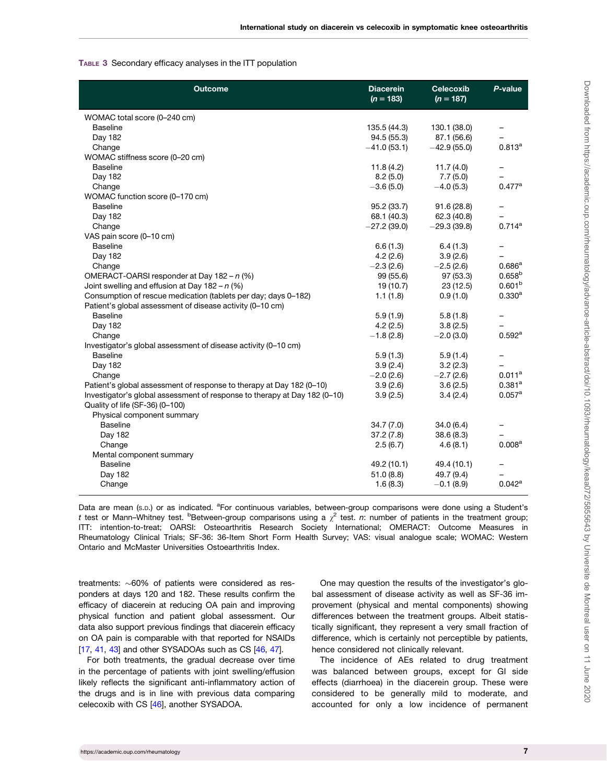#### <span id="page-6-0"></span>TABLE 3 Secondary efficacy analyses in the ITT population

| <b>Outcome</b>                                                            | <b>Diacerein</b><br>$(n = 183)$ | <b>Celecoxib</b><br>$(n = 187)$ | P-value            |
|---------------------------------------------------------------------------|---------------------------------|---------------------------------|--------------------|
| WOMAC total score (0-240 cm)                                              |                                 |                                 |                    |
| <b>Baseline</b>                                                           | 135.5 (44.3)                    | 130.1 (38.0)                    |                    |
| Day 182                                                                   | 94.5(55.3)                      | 87.1 (56.6)                     |                    |
| Change                                                                    | $-41.0(53.1)$                   | $-42.9(55.0)$                   | $0.813^{a}$        |
| WOMAC stiffness score (0-20 cm)                                           |                                 |                                 |                    |
| Baseline                                                                  | 11.8(4.2)                       | 11.7(4.0)                       |                    |
| Day 182                                                                   | 8.2(5.0)                        | 7.7(5.0)                        |                    |
| Change                                                                    | $-3.6(5.0)$                     | $-4.0(5.3)$                     | 0.477 <sup>a</sup> |
| WOMAC function score (0-170 cm)                                           |                                 |                                 |                    |
| <b>Baseline</b>                                                           | 95.2 (33.7)                     | 91.6(28.8)                      |                    |
| Day 182                                                                   | 68.1 (40.3)                     | 62.3 (40.8)                     |                    |
| Change                                                                    | $-27.2(39.0)$                   | $-29.3(39.8)$                   | $0.714^a$          |
| VAS pain score (0-10 cm)                                                  |                                 |                                 |                    |
| <b>Baseline</b>                                                           | 6.6(1.3)                        | 6.4(1.3)                        |                    |
| Day 182                                                                   | 4.2(2.6)                        | 3.9(2.6)                        |                    |
| Change                                                                    | $-2.3(2.6)$                     | $-2.5(2.6)$                     | $0.686^{\rm a}$    |
| OMERACT-OARSI responder at Day 182 - n (%)                                | 99 (55.6)                       | 97 (53.3)                       | 0.658 <sup>b</sup> |
| Joint swelling and effusion at Day $182 - n$ (%)                          | 19(10.7)                        | 23(12.5)                        | 0.601 <sup>b</sup> |
| Consumption of rescue medication (tablets per day; days 0-182)            | 1.1(1.8)                        | 0.9(1.0)                        | $0.330^{a}$        |
| Patient's global assessment of disease activity (0-10 cm)                 |                                 |                                 |                    |
| <b>Baseline</b>                                                           | 5.9(1.9)                        | 5.8(1.8)                        |                    |
| Day 182                                                                   | 4.2(2.5)                        | 3.8(2.5)                        |                    |
| Change                                                                    | $-1.8(2.8)$                     | $-2.0(3.0)$                     | 0.592 <sup>a</sup> |
| Investigator's global assessment of disease activity (0-10 cm)            |                                 |                                 |                    |
| <b>Baseline</b>                                                           | 5.9(1.3)                        | 5.9(1.4)                        | -                  |
| Day 182                                                                   | 3.9(2.4)                        | 3.2(2.3)                        |                    |
| Change                                                                    | $-2.0(2.6)$                     | $-2.7(2.6)$                     | $0.011^a$          |
| Patient's global assessment of response to therapy at Day 182 (0-10)      | 3.9(2.6)                        | 3.6(2.5)                        | $0.381^{a}$        |
| Investigator's global assessment of response to therapy at Day 182 (0-10) | 3.9(2.5)                        | 3.4(2.4)                        | $0.057^{\rm a}$    |
| Quality of life (SF-36) (0-100)                                           |                                 |                                 |                    |
| Physical component summary                                                |                                 |                                 |                    |
| <b>Baseline</b>                                                           | 34.7(7.0)                       | 34.0(6.4)                       |                    |
| Day 182                                                                   | 37.2(7.8)                       | 38.6(8.3)                       |                    |
| Change                                                                    | 2.5(6.7)                        | 4.6(8.1)                        | 0.008 <sup>a</sup> |
| Mental component summary                                                  |                                 |                                 |                    |
| <b>Baseline</b>                                                           | 49.2 (10.1)                     | 49.4 (10.1)                     |                    |
| Day 182                                                                   | 51.0(8.8)                       | 49.7 (9.4)                      |                    |
| Change                                                                    | 1.6(8.3)                        | $-0.1(8.9)$                     | $0.042^a$          |

Data are mean (s.p.) or as indicated. <sup>a</sup>For continuous variables, between-group comparisons were done using a Student's t test or Mann–Whitney test. <sup>b</sup>Between-group comparisons using a  $\chi^2$  test. n: number of patients in the treatment group; ITT: intention-to-treat; OARSI: Osteoarthritis Research Society International; OMERACT: Outcome Measures in Rheumatology Clinical Trials; SF-36: 36-Item Short Form Health Survey; VAS: visual analogue scale; WOMAC: Western Ontario and McMaster Universities Ostoearthritis Index.

treatments:  $\sim$  60% of patients were considered as responders at days 120 and 182. These results confirm the efficacy of diacerein at reducing OA pain and improving physical function and patient global assessment. Our data also support previous findings that diacerein efficacy on OA pain is comparable with that reported for NSAIDs [[17,](#page-9-0) [41](#page-9-0), [43](#page-9-0)] and other SYSADOAs such as CS [\[46,](#page-10-0) [47\]](#page-10-0).

For both treatments, the gradual decrease over time in the percentage of patients with joint swelling/effusion likely reflects the significant anti-inflammatory action of the drugs and is in line with previous data comparing celecoxib with CS [[46](#page-10-0)], another SYSADOA.

One may question the results of the investigator's global assessment of disease activity as well as SF-36 improvement (physical and mental components) showing differences between the treatment groups. Albeit statistically significant, they represent a very small fraction of difference, which is certainly not perceptible by patients, hence considered not clinically relevant.

The incidence of AEs related to drug treatment was balanced between groups, except for GI side effects (diarrhoea) in the diacerein group. These were considered to be generally mild to moderate, and accounted for only a low incidence of permanent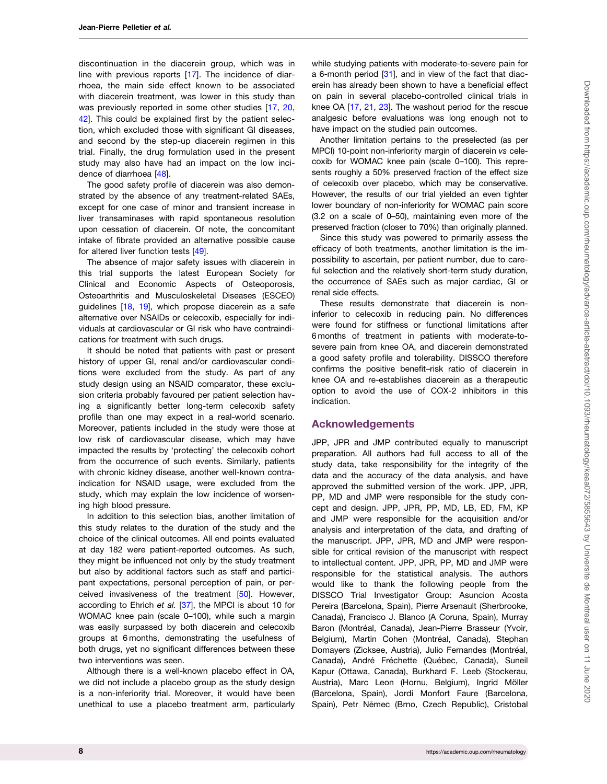<span id="page-7-0"></span>discontinuation in the diacerein group, which was in line with previous reports [[17](#page-9-0)]. The incidence of diarrhoea, the main side effect known to be associated with diacerein treatment, was lower in this study than was previously reported in some other studies [\[17,](#page-9-0) [20](#page-9-0), [42\]](#page-9-0). This could be explained first by the patient selection, which excluded those with significant GI diseases, and second by the step-up diacerein regimen in this trial. Finally, the drug formulation used in the present study may also have had an impact on the low incidence of diarrhoea [\[48\]](#page-10-0).

The good safety profile of diacerein was also demonstrated by the absence of any treatment-related SAEs, except for one case of minor and transient increase in liver transaminases with rapid spontaneous resolution upon cessation of diacerein. Of note, the concomitant intake of fibrate provided an alternative possible cause for altered liver function tests [\[49\]](#page-10-0).

The absence of major safety issues with diacerein in this trial supports the latest European Society for Clinical and Economic Aspects of Osteoporosis, Osteoarthritis and Musculoskeletal Diseases (ESCEO) guidelines [\[18,](#page-9-0) [19\]](#page-9-0), which propose diacerein as a safe alternative over NSAIDs or celecoxib, especially for individuals at cardiovascular or GI risk who have contraindications for treatment with such drugs.

It should be noted that patients with past or present history of upper GI, renal and/or cardiovascular conditions were excluded from the study. As part of any study design using an NSAID comparator, these exclusion criteria probably favoured per patient selection having a significantly better long-term celecoxib safety profile than one may expect in a real-world scenario. Moreover, patients included in the study were those at low risk of cardiovascular disease, which may have impacted the results by 'protecting' the celecoxib cohort from the occurrence of such events. Similarly, patients with chronic kidney disease, another well-known contraindication for NSAID usage, were excluded from the study, which may explain the low incidence of worsening high blood pressure.

In addition to this selection bias, another limitation of this study relates to the duration of the study and the choice of the clinical outcomes. All end points evaluated at day 182 were patient-reported outcomes. As such, they might be influenced not only by the study treatment but also by additional factors such as staff and participant expectations, personal perception of pain, or perceived invasiveness of the treatment [\[50\]](#page-10-0). However, according to Ehrich et al. [\[37\]](#page-9-0), the MPCI is about 10 for WOMAC knee pain (scale 0–100), while such a margin was easily surpassed by both diacerein and celecoxib groups at 6 months, demonstrating the usefulness of both drugs, yet no significant differences between these two interventions was seen.

Although there is a well-known placebo effect in OA, we did not include a placebo group as the study design is a non-inferiority trial. Moreover, it would have been unethical to use a placebo treatment arm, particularly

while studying patients with moderate-to-severe pain for a 6-month period [\[31\]](#page-9-0), and in view of the fact that diacerein has already been shown to have a beneficial effect on pain in several placebo-controlled clinical trials in knee OA [\[17](#page-9-0), [21](#page-9-0), [23](#page-9-0)]. The washout period for the rescue analgesic before evaluations was long enough not to have impact on the studied pain outcomes.

Another limitation pertains to the preselected (as per MPCI) 10-point non-inferiority margin of diacerein vs celecoxib for WOMAC knee pain (scale 0–100). This represents roughly a 50% preserved fraction of the effect size of celecoxib over placebo, which may be conservative. However, the results of our trial yielded an even tighter lower boundary of non-inferiority for WOMAC pain score (3.2 on a scale of 0–50), maintaining even more of the preserved fraction (closer to 70%) than originally planned.

Since this study was powered to primarily assess the efficacy of both treatments, another limitation is the impossibility to ascertain, per patient number, due to careful selection and the relatively short-term study duration, the occurrence of SAEs such as major cardiac, GI or renal side effects.

These results demonstrate that diacerein is noninferior to celecoxib in reducing pain. No differences were found for stiffness or functional limitations after 6 months of treatment in patients with moderate-tosevere pain from knee OA, and diacerein demonstrated a good safety profile and tolerability. DISSCO therefore confirms the positive benefit–risk ratio of diacerein in knee OA and re-establishes diacerein as a therapeutic option to avoid the use of COX-2 inhibitors in this indication.

# Acknowledgements

JPP, JPR and JMP contributed equally to manuscript preparation. All authors had full access to all of the study data, take responsibility for the integrity of the data and the accuracy of the data analysis, and have approved the submitted version of the work. JPP, JPR, PP, MD and JMP were responsible for the study concept and design. JPP, JPR, PP, MD, LB, ED, FM, KP and JMP were responsible for the acquisition and/or analysis and interpretation of the data, and drafting of the manuscript. JPP, JPR, MD and JMP were responsible for critical revision of the manuscript with respect to intellectual content. JPP, JPR, PP, MD and JMP were responsible for the statistical analysis. The authors would like to thank the following people from the DISSCO Trial Investigator Group: Asuncion Acosta Pereira (Barcelona, Spain), Pierre Arsenault (Sherbrooke, Canada), Francisco J. Blanco (A Coruna, Spain), Murray Baron (Montréal, Canada), Jean-Pierre Brasseur (Yvoir, Belgium), Martin Cohen (Montréal, Canada), Stephan Domayers (Zicksee, Austria), Julio Fernandes (Montréal, Canada), André Fréchette (Québec, Canada), Suneil Kapur (Ottawa, Canada), Burkhard F. Leeb (Stockerau, Austria), Marc Leon (Hornu, Belgium), Ingrid Möller (Barcelona, Spain), Jordi Monfort Faure (Barcelona, Spain), Petr Němec (Brno, Czech Republic), Cristobal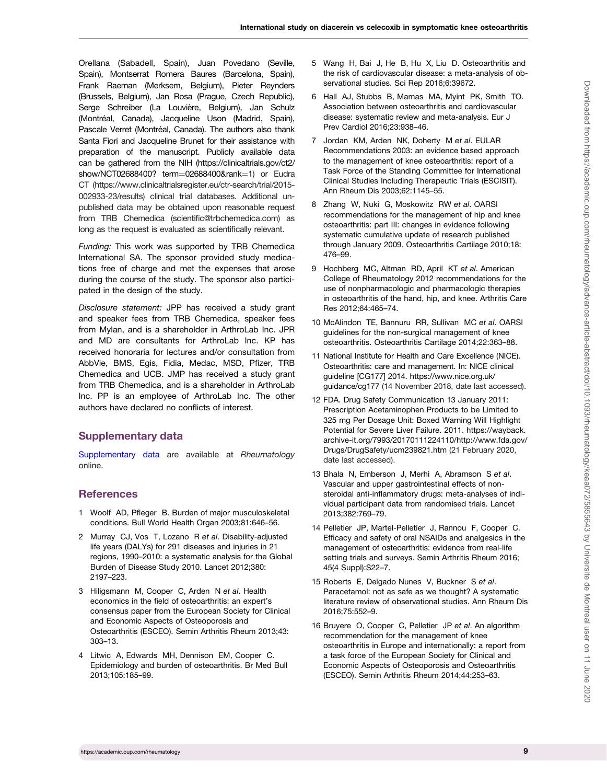<span id="page-8-0"></span>Orellana (Sabadell, Spain), Juan Povedano (Seville, Spain), Montserrat Romera Baures (Barcelona, Spain), Frank Raeman (Merksem, Belgium), Pieter Reynders (Brussels, Belgium), Jan Rosa (Prague, Czech Republic), Serge Schreiber (La Louvière, Belgium), Jan Schulz (Montréal, Canada), Jacqueline Uson (Madrid, Spain), Pascale Verret (Montréal, Canada). The authors also thank Santa Fiori and Jacqueline Brunet for their assistance with preparation of the manuscript. Publicly available data can be gathered from the NIH [\(https://clinicaltrials.gov/ct2/](https://clinicaltrials.gov/ct2/show/NCT02688400? term=02688400&hx0026;rank=1) [show/NCT02688400? term](https://clinicaltrials.gov/ct2/show/NCT02688400? term=02688400&hx0026;rank=1)=[02688400&rank](https://clinicaltrials.gov/ct2/show/NCT02688400? term=02688400&hx0026;rank=1)=[1\)](https://clinicaltrials.gov/ct2/show/NCT02688400? term=02688400&hx0026;rank=1) or Eudra CT ([https://www.clinicaltrialsregister.eu/ctr-search/trial/2015-](https://www.clinicaltrialsregister.eu/ctr-search/trial/2015-002933-23/results) [002933-23/results](https://www.clinicaltrialsregister.eu/ctr-search/trial/2015-002933-23/results)) clinical trial databases. Additional unpublished data may be obtained upon reasonable request from TRB Chemedica (scientific@trbchemedica.com) as long as the request is evaluated as scientifically relevant.

Funding: This work was supported by TRB Chemedica International SA. The sponsor provided study medications free of charge and met the expenses that arose during the course of the study. The sponsor also participated in the design of the study.

Disclosure statement: JPP has received a study grant and speaker fees from TRB Chemedica, speaker fees from Mylan, and is a shareholder in ArthroLab Inc. JPR and MD are consultants for ArthroLab Inc. KP has received honoraria for lectures and/or consultation from AbbVie, BMS, Egis, Fidia, Medac, MSD, Pfizer, TRB Chemedica and UCB. JMP has received a study grant from TRB Chemedica, and is a shareholder in ArthroLab Inc. PP is an employee of ArthroLab Inc. The other authors have declared no conflicts of interest.

## Supplementary data

[Supplementary data](https://academic.oup.com/rheumatology/article-lookup/doi/10.1093/rheumatology/keaa072#supplementary-data) are available at Rheumatology online.

# **References**

- [1](#page-1-0) Woolf AD, Pfleger B. Burden of major musculoskeletal conditions. Bull World Health Organ 2003;81:646–56.
- [2](#page-1-0) Murray CJ, Vos T, Lozano R et al. Disability-adjusted life years (DALYs) for 291 diseases and injuries in 21 regions, 1990–2010: a systematic analysis for the Global Burden of Disease Study 2010. Lancet 2012;380: 2197–223.
- [3](#page-1-0) Hiligsmann M, Cooper C, Arden N et al. Health economics in the field of osteoarthritis: an expert's consensus paper from the European Society for Clinical and Economic Aspects of Osteoporosis and Osteoarthritis (ESCEO). Semin Arthritis Rheum 2013;43: 303–13.
- [4](#page-1-0) Litwic A, Edwards MH, Dennison EM, Cooper C. Epidemiology and burden of osteoarthritis. Br Med Bull 2013;105:185–99.
- [5](#page-1-0) Wang H, Bai J, He B, Hu X, Liu D. Osteoarthritis and the risk of cardiovascular disease: a meta-analysis of observational studies. Sci Rep 2016;6:39672.
- [6](#page-1-0) Hall AJ, Stubbs B, Mamas MA, Myint PK, Smith TO. Association between osteoarthritis and cardiovascular disease: systematic review and meta-analysis. Eur J Prev Cardiol 2016;23:938–46.
- 7 Jordan KM, Arden NK, Doherty M et al. EULAR Recommendations 2003: an evidence based approach to the management of knee osteoarthritis: report of a Task Force of the Standing Committee for International Clinical Studies Including Therapeutic Trials (ESCISIT). Ann Rheum Dis 2003;62:1145–55.
- 8 Zhang W, Nuki G, Moskowitz RW et al. OARSI recommendations for the management of hip and knee osteoarthritis: part III: changes in evidence following systematic cumulative update of research published through January 2009. Osteoarthritis Cartilage 2010;18: 476–99.
- 9 Hochberg MC, Altman RD, April KT et al. American College of Rheumatology 2012 recommendations for the use of nonpharmacologic and pharmacologic therapies in osteoarthritis of the hand, hip, and knee. Arthritis Care Res 2012;64:465–74.
- 10 McAlindon TE, Bannuru RR, Sullivan MC et al. OARSI guidelines for the non-surgical management of knee osteoarthritis. Osteoarthritis Cartilage 2014;22:363–88.
- 11 National Institute for Health and Care Excellence (NICE). Osteoarthritis: care and management. In: NICE clinical guideline [CG177] 2014. [https://www.nice.org.uk/](https://www.nice.org.uk/guidance/cg177) [guidance/cg177](https://www.nice.org.uk/guidance/cg177) (14 November 2018, date last accessed).
- 12 FDA. Drug Safety Communication 13 January 2011: Prescription Acetaminophen Products to be Limited to 325 mg Per Dosage Unit: Boxed Warning Will Highlight Potential for Severe Liver Failure. 2011. [https://wayback.](https://wayback.archive-it.org/7993/20170111224110/http://www.fda.gov/Drugs/DrugSafety/ucm239821.htm) [archive-it.org/7993/20170111224110/http://www.fda.gov/](https://wayback.archive-it.org/7993/20170111224110/http://www.fda.gov/Drugs/DrugSafety/ucm239821.htm) [Drugs/DrugSafety/ucm239821.htm](https://wayback.archive-it.org/7993/20170111224110/http://www.fda.gov/Drugs/DrugSafety/ucm239821.htm) (21 February 2020, date last accessed).
- [13](#page-1-0) Bhala N, Emberson J, Merhi A, Abramson S et al. Vascular and upper gastrointestinal effects of nonsteroidal anti-inflammatory drugs: meta-analyses of individual participant data from randomised trials. Lancet 2013;382:769–79.
- [14](#page-5-0) Pelletier JP, Martel-Pelletier J, Rannou F, Cooper C. Efficacy and safety of oral NSAIDs and analgesics in the management of osteoarthritis: evidence from real-life setting trials and surveys. Semin Arthritis Rheum 2016; 45(4 Suppl):S22–7.
- 15 Roberts E, Delgado Nunes V, Buckner S et al. Paracetamol: not as safe as we thought? A systematic literature review of observational studies. Ann Rheum Dis 2016;75:552–9.
- [16](#page-1-0) Bruyere O, Cooper C, Pelletier JP et al. An algorithm recommendation for the management of knee osteoarthritis in Europe and internationally: a report from a task force of the European Society for Clinical and Economic Aspects of Osteoporosis and Osteoarthritis (ESCEO). Semin Arthritis Rheum 2014;44:253–63.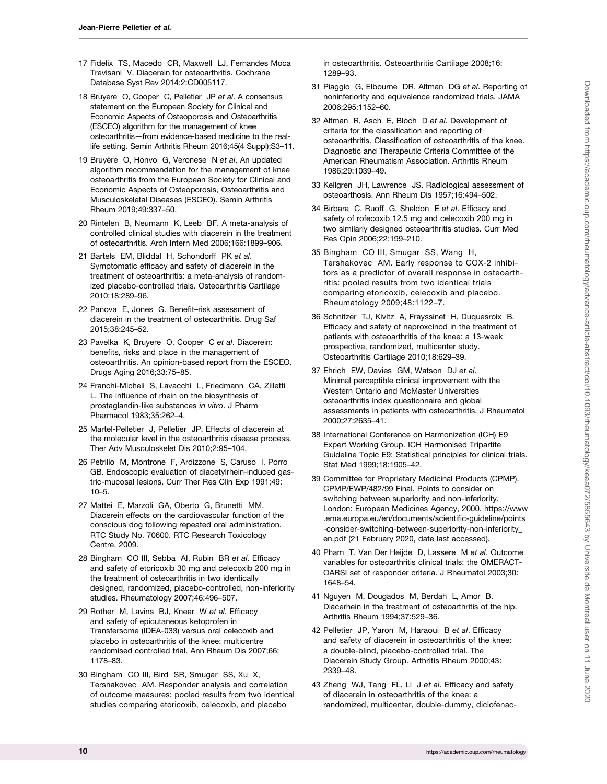- <span id="page-9-0"></span>[17](#page-1-0) Fidelix TS, Macedo CR, Maxwell LJ, Fernandes Moca Trevisani V. Diacerein for osteoarthritis. Cochrane Database Syst Rev 2014;2:CD005117.
- [18](#page-1-0) Bruyere O, Cooper C, Pelletier JP et al. A consensus statement on the European Society for Clinical and Economic Aspects of Osteoporosis and Osteoarthritis (ESCEO) algorithm for the management of knee osteoarthritis—from evidence-based medicine to the reallife setting. Semin Arthritis Rheum 2016;45(4 Suppl):S3–11.
- [19](#page-1-0) Bruyère O, Honvo G, Veronese N et al. An updated algorithm recommendation for the management of knee osteoarthritis from the European Society for Clinical and Economic Aspects of Osteoporosis, Osteoarthritis and Musculoskeletal Diseases (ESCEO). Semin Arthritis Rheum 2019;49:337–50.
- [20](#page-1-0) Rintelen B, Neumann K, Leeb BF. A meta-analysis of controlled clinical studies with diacerein in the treatment of osteoarthritis. Arch Intern Med 2006;166:1899–906.
- [21](#page-7-0) Bartels EM, Bliddal H, Schondorff PK et al. Symptomatic efficacy and safety of diacerein in the treatment of osteoarthritis: a meta-analysis of randomized placebo-controlled trials. Osteoarthritis Cartilage 2010;18:289–96.
- 22 Panova E, Jones G. Benefit–risk assessment of diacerein in the treatment of osteoarthritis. Drug Saf 2015;38:245–52.
- [23](#page-1-0) Pavelka K, Bruyere O, Cooper C et al. Diacerein: benefits, risks and place in the management of osteoarthritis. An opinion-based report from the ESCEO. Drugs Aging 2016;33:75–85.
- [24](#page-1-0) Franchi-Micheli S, Lavacchi L, Friedmann CA, Zilletti L. The influence of rhein on the biosynthesis of prostaglandin-like substances in vitro. J Pharm Pharmacol 1983;35:262–4.
- [25](#page-1-0) Martel-Pelletier J, Pelletier JP. Effects of diacerein at the molecular level in the osteoarthritis disease process. Ther Adv Musculoskelet Dis 2010;2:95–104.
- [26](#page-1-0) Petrillo M, Montrone F, Ardizzone S, Caruso I, Porro GB. Endoscopic evaluation of diacetylrhein-induced gastric-mucosal lesions. Curr Ther Res Clin Exp 1991;49:  $10 - 5$ .
- [27](#page-1-0) Mattei E, Marzoli GA, Oberto G, Brunetti MM. Diacerein effects on the cardiovascular function of the conscious dog following repeated oral administration. RTC Study No. 70600. RTC Research Toxicology Centre. 2009.
- [28](#page-2-0) Bingham CO III, Sebba AI, Rubin BR et al. Efficacy and safety of etoricoxib 30 mg and celecoxib 200 mg in the treatment of osteoarthritis in two identically designed, randomized, placebo-controlled, non-inferiority studies. Rheumatology 2007;46:496–507.
- 29 Rother M, Lavins BJ, Kneer W et al. Efficacy and safety of epicutaneous ketoprofen in Transfersome (IDEA-033) versus oral celecoxib and placebo in osteoarthritis of the knee: multicentre randomised controlled trial. Ann Rheum Dis 2007;66: 1178–83.
- 30 Bingham CO III, Bird SR, Smugar SS, Xu X, Tershakovec AM. Responder analysis and correlation of outcome measures: pooled results from two identical studies comparing etoricoxib, celecoxib, and placebo

in osteoarthritis. Osteoarthritis Cartilage 2008;16: 1289–93.

- [31](#page-1-0) Piaggio G, Elbourne DR, Altman DG et al. Reporting of noninferiority and equivalence randomized trials. JAMA 2006;295:1152–60.
- [32](#page-1-0) Altman R, Asch E, Bloch D et al. Development of criteria for the classification and reporting of osteoarthritis. Classification of osteoarthritis of the knee. Diagnostic and Therapeutic Criteria Committee of the American Rheumatism Association. Arthritis Rheum 1986;29:1039–49.
- [33](#page-1-0) Kellgren JH, Lawrence JS. Radiological assessment of osteoarthosis. Ann Rheum Dis 1957;16:494–502.
- [34](#page-2-0) Birbara C, Ruoff G, Sheldon E et al. Efficacy and safety of rofecoxib 12.5 mg and celecoxib 200 mg in two similarly designed osteoarthritis studies. Curr Med Res Opin 2006;22:199–210.
- 35 Bingham CO III, Smugar SS, Wang H, Tershakovec AM. Early response to COX-2 inhibitors as a predictor of overall response in osteoarthritis: pooled results from two identical trials comparing etoricoxib, celecoxib and placebo. Rheumatology 2009;48:1122–7.
- 36 Schnitzer TJ, Kivitz A, Frayssinet H, Duquesroix B. Efficacy and safety of naproxcinod in the treatment of patients with osteoarthritis of the knee: a 13-week prospective, randomized, multicenter study. Osteoarthritis Cartilage 2010;18:629–39.
- [37](#page-2-0) Ehrich EW, Davies GM, Watson DJ et al. Minimal perceptible clinical improvement with the Western Ontario and McMaster Universities osteoarthritis index questionnaire and global assessments in patients with osteoarthritis. J Rheumatol 2000;27:2635–41.
- [38](#page-2-0) International Conference on Harmonization (ICH) E9 Expert Working Group. ICH Harmonised Tripartite Guideline Topic E9: Statistical principles for clinical trials. Stat Med 1999;18:1905–42.
- [39](#page-2-0) Committee for Proprietary Medicinal Products (CPMP). CPMP/EWP/482/99 Final. Points to consider on switching between superiority and non-inferiority. London: European Medicines Agency, 2000. https://www .ema.europa.eu/en/documents/scientific-guideline/points -consider-switching-between-superiority-non-inferiority\_ en.pdf (21 February 2020, date last accessed).
- [40](#page-3-0) Pham T, Van Der Heijde D, Lassere M et al. Outcome variables for osteoarthritis clinical trials: the OMERACT-OARSI set of responder criteria. J Rheumatol 2003;30: 1648–54.
- [41](#page-5-0) Nguyen M, Dougados M, Berdah L, Amor B. Diacerhein in the treatment of osteoarthritis of the hip. Arthritis Rheum 1994;37:529–36.
- [42](#page-7-0) Pelletier JP, Yaron M, Haraoui B et al. Efficacy and safety of diacerein in osteoarthritis of the knee: a double-blind, placebo-controlled trial. The Diacerein Study Group. Arthritis Rheum 2000;43: 2339–48.
- [43](#page-5-0) Zheng WJ, Tang FL, Li J et al. Efficacy and safety of diacerein in osteoarthritis of the knee: a randomized, multicenter, double-dummy, diclofenac-